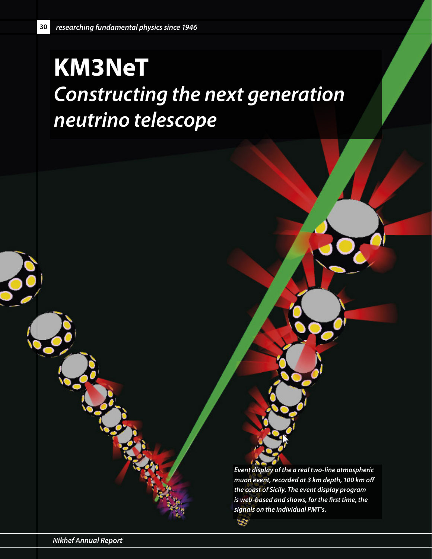## **KM3NeT** *Constructing the next generation neutrino telescope*

*Event display of the a real two-line atmospheric muon event, recorded at 3 km depth, 100 km off the coast of Sicily. The event display program is web-based and shows, for the first time, the signals on the individual PMT's.* 

**SP**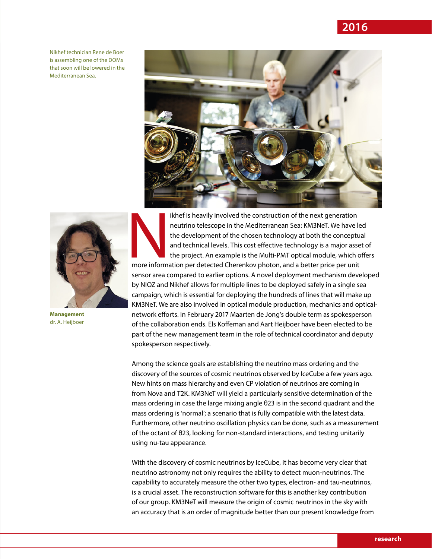*researching fundamental physics since 1947* **2016**

Nikhef technician Rene de Boer is assembling one of the DOMs that soon will be lowered in the Mediterranean Sea.





**Management** dr. A. Heijboer

Is the is heavily involved the construction of the next generation<br>
neutrino telescope in the Mediterranean Sea: KM3NeT. We have level and technical levels. This cost effective technology is a major asset<br>
the project. An neutrino telescope in the Mediterranean Sea: KM3NeT. We have led the development of the chosen technology at both the conceptual and technical levels. This cost effective technology is a major asset of the project. An example is the Multi-PMT optical module, which offers sensor area compared to earlier options. A novel deployment mechanism developed by NIOZ and Nikhef allows for multiple lines to be deployed safely in a single sea campaign, which is essential for deploying the hundreds of lines that will make up KM3NeT. We are also involved in optical module production, mechanics and opticalnetwork efforts. In February 2017 Maarten de Jong's double term as spokesperson of the collaboration ends. Els Koffeman and Aart Heijboer have been elected to be part of the new management team in the role of technical coordinator and deputy spokesperson respectively.

Among the science goals are establishing the neutrino mass ordering and the discovery of the sources of cosmic neutrinos observed by IceCube a few years ago. New hints on mass hierarchy and even CP violation of neutrinos are coming in from Nova and T2K. KM3NeT will yield a particularly sensitive determination of the mass ordering in case the large mixing angle θ23 is in the second quadrant and the mass ordering is 'normal'; a scenario that is fully compatible with the latest data. Furthermore, other neutrino oscillation physics can be done, such as a measurement of the octant of θ23, looking for non-standard interactions, and testing unitarily using nu-tau appearance.

With the discovery of cosmic neutrinos by IceCube, it has become very clear that neutrino astronomy not only requires the ability to detect muon-neutrinos. The capability to accurately measure the other two types, electron- and tau-neutrinos, is a crucial asset. The reconstruction software for this is another key contribution of our group. KM3NeT will measure the origin of cosmic neutrinos in the sky with an accuracy that is an order of magnitude better than our present knowledge from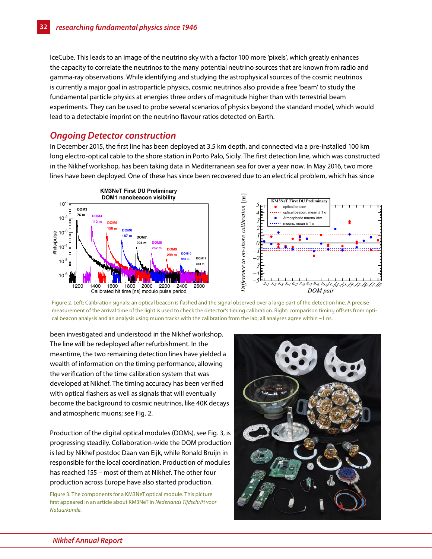IceCube. This leads to an image of the neutrino sky with a factor 100 more 'pixels', which greatly enhances the capacity to correlate the neutrinos to the many potential neutrino sources that are known from radio and gamma-ray observations. While identifying and studying the astrophysical sources of the cosmic neutrinos is currently a major goal in astroparticle physics, cosmic neutrinos also provide a free 'beam' to study the fundamental particle physics at energies three orders of magnitude higher than with terrestrial beam experiments. They can be used to probe several scenarios of physics beyond the standard model, which would lead to a detectable imprint on the neutrino flavour ratios detected on Earth.

## *Ongoing Detector construction*

In December 2015, the first line has been deployed at 3.5 km depth, and connected via a pre-installed 100 km long electro-optical cable to the shore station in Porto Palo, Sicily. The first detection line, which was constructed in the Nikhef workshop, has been taking data in Mediterranean sea for over a year now. In May 2016, two more lines have been deployed. One of these has since been recovered due to an electrical problem, which has since





Figure 2. Left: Calibration signals: an optical beacon is flashed and the signal observed over a large part of the detection line. A precise measurement of the arrival time of the light is used to check the detector's timing calibration. Right: comparison timing offsets from optical beacon analysis and an analysis using muon tracks with the calibration from the lab; all analyses agree within ~1 ns.

been investigated and understood in the Nikhef workshop. The line will be redeployed after refurbishment. In the meantime, the two remaining detection lines have yielded a wealth of information on the timing performance, allowing the verification of the time calibration system that was developed at Nikhef. The timing accuracy has been verified with optical flashers as well as signals that will eventually become the background to cosmic neutrinos, like 40K decays and atmospheric muons; see Fig. 2.

Production of the digital optical modules (DOMs), see Fig. 3, is progressing steadily. Collaboration-wide the DOM production is led by Nikhef postdoc Daan van Eijk, while Ronald Bruijn in responsible for the local coordination. Production of modules has reached 155 – most of them at Nikhef. The other four production across Europe have also started production.

Figure 3. The components for a KM3NeT optical module. This picture first appeared in an article about KM3NeT in *Nederlands Tijdschrift voor Natuurkunde*.